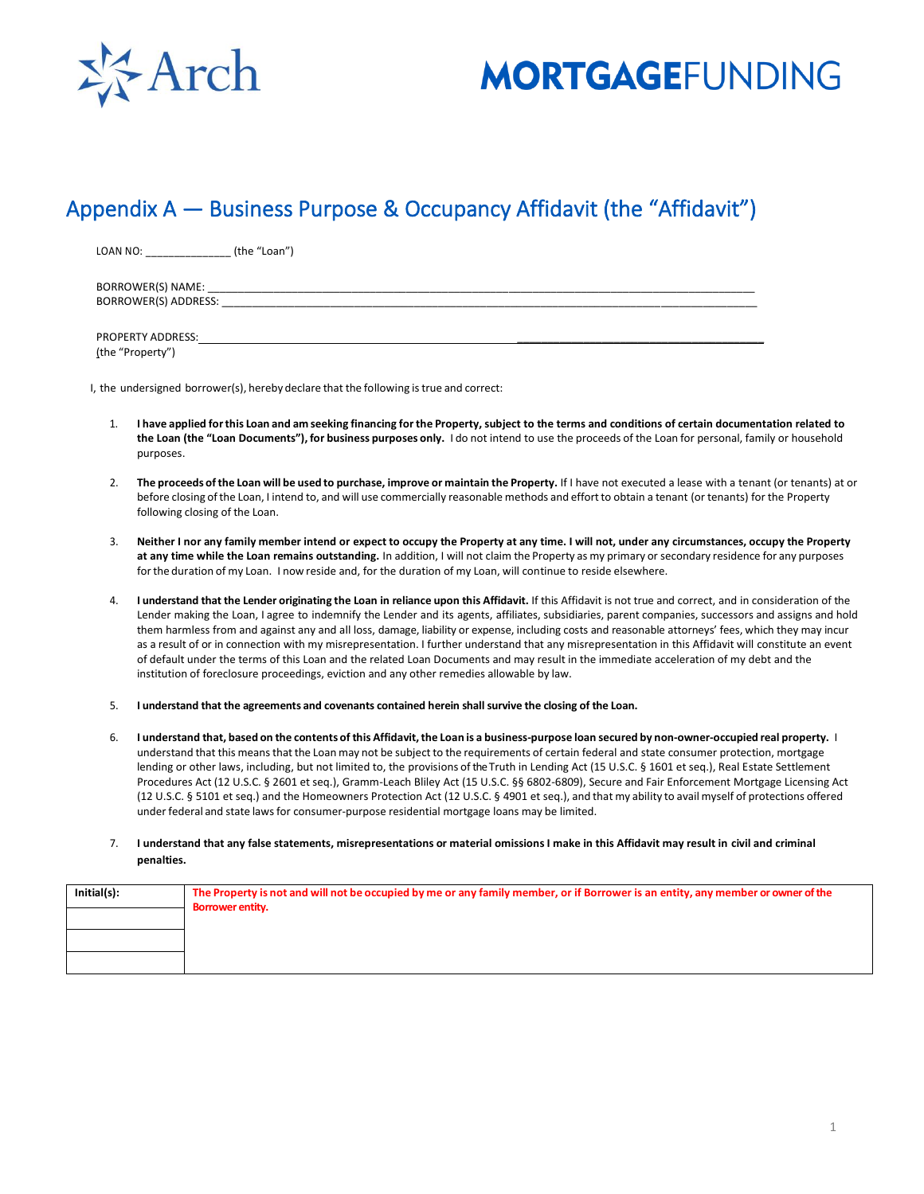

## **MORTGAGEFUNDING**

## Appendix A — Business Purpose & Occupancy Affidavit (the "Affidavit")

LOAN NO: \_\_\_\_\_\_\_\_\_\_\_\_\_\_\_\_\_\_\_(the "Loan")

BORROWER(S) NAME: BORROWER(S) ADDRESS:

PROPERTY ADDRESS: (the "Property")

I, the undersigned borrower(s), hereby declare that the following is true and correct:

- 1. **I have applied forthis Loan and am seeking financing forthe Property, subject to the terms and conditions of certain documentation related to the Loan (the "Loan Documents"), for business purposes only.** I do not intend to use the proceeds of the Loan for personal, family or household purposes.
- 2. The proceeds of the Loan will be used to purchase, improve or maintain the Property. If I have not executed a lease with a tenant (or tenants) at or before closing of the Loan, I intend to, and will use commercially reasonable methods and effort to obtain a tenant (or tenants) for the Property following closing of the Loan.
- 3. **Neither I nor any family member intend or expect to occupy the Property at any time. I will not, under any circumstances, occupy the Property at any time while the Loan remains outstanding.** In addition, I will not claim the Property as my primary or secondary residence for any purposes forthe duration of my Loan. I now reside and, for the duration of my Loan, will continue to reside elsewhere.
- I understand that the Lender originating the Loan in reliance upon this Affidavit. If this Affidavit is not true and correct, and in consideration of the Lender making the Loan, I agree to indemnify the Lender and its agents, affiliates, subsidiaries, parent companies, successors and assigns and hold them harmless from and against any and all loss, damage, liability or expense, including costs and reasonable attorneys' fees, which they may incur as a result of or in connection with my misrepresentation. I further understand that any misrepresentation in this Affidavit will constitute an event of default under the terms of this Loan and the related Loan Documents and may result in the immediate acceleration of my debt and the institution of foreclosure proceedings, eviction and any other remedies allowable by law.
- 5. **I understand that the agreements and covenants contained herein shall survive the closing of the Loan.**
- 6. I understand that, based on the contents of this Affidavit, the Loan is a business-purpose loan secured by non-owner-occupied real property. I understand that this means that the Loan may not be subject to the requirements of certain federal and state consumer protection, mortgage lending or other laws, including, but not limited to, the provisions of the Truth in Lending Act (15 U.S.C. § 1601 et seq.), Real Estate Settlement Procedures Act (12 U.S.C. § 2601 et seq.), Gramm-Leach Bliley Act (15 U.S.C. §§ 6802-6809), Secure and Fair Enforcement Mortgage Licensing Act (12 U.S.C. § 5101 et seq.) and the Homeowners Protection Act (12 U.S.C. § 4901 et seq.), and that my ability to avail myself of protections offered under federal and state lawsfor consumer-purpose residential mortgage loans may be limited.
- 7. **I understand that any false statements, misrepresentations or material omissions I make in this Affidavit may result in civil and criminal penalties.**

| Initial(s): | The Property is not and will not be occupied by me or any family member, or if Borrower is an entity, any member or owner of the<br><b>Borrower entity.</b> |  |
|-------------|-------------------------------------------------------------------------------------------------------------------------------------------------------------|--|
|             |                                                                                                                                                             |  |
|             |                                                                                                                                                             |  |
|             |                                                                                                                                                             |  |